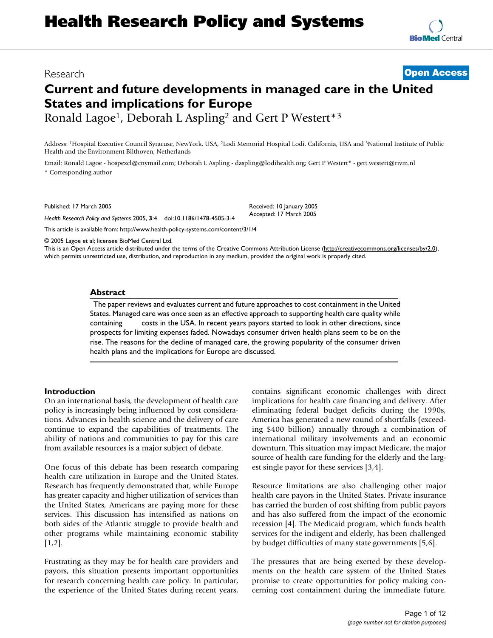# Research **[Open Access](http://www.biomedcentral.com/info/about/charter/)**

# **Current and future developments in managed care in the United States and implications for Europe**

Ronald Lagoe1, Deborah L Aspling2 and Gert P Westert\*3

Address: 1Hospital Executive Council Syracuse, NewYork, USA, 2Lodi Memorial Hospital Lodi, California, USA and 3National Institute of Public Health and the Environment Bilthoven, Netherlands

Email: Ronald Lagoe - hospexcl@cnymail.com; Deborah L Aspling - daspling@lodihealth.org; Gert P Westert\* - gert.westert@rivm.nl \* Corresponding author

Published: 17 March 2005

*Health Research Policy and Systems* 2005, **3**:4 doi:10.1186/1478-4505-3-4

[This article is available from: http://www.health-policy-systems.com/content/3/1/4](http://www.health-policy-systems.com/content/3/1/4)

© 2005 Lagoe et al; licensee BioMed Central Ltd.

This is an Open Access article distributed under the terms of the Creative Commons Attribution License [\(http://creativecommons.org/licenses/by/2.0\)](http://creativecommons.org/licenses/by/2.0), which permits unrestricted use, distribution, and reproduction in any medium, provided the original work is properly cited.

Received: 10 January 2005 Accepted: 17 March 2005

#### **Abstract**

 The paper reviews and evaluates current and future approaches to cost containment in the United States. Managed care was once seen as an effective approach to supporting health care quality while containing costs in the USA. In recent years payors started to look in other directions, since prospects for limiting expenses faded. Nowadays consumer driven health plans seem to be on the rise. The reasons for the decline of managed care, the growing popularity of the consumer driven health plans and the implications for Europe are discussed.

## **Introduction**

On an international basis, the development of health care policy is increasingly being influenced by cost considerations. Advances in health science and the delivery of care continue to expand the capabilities of treatments. The ability of nations and communities to pay for this care from available resources is a major subject of debate.

One focus of this debate has been research comparing health care utilization in Europe and the United States. Research has frequently demonstrated that, while Europe has greater capacity and higher utilization of services than the United States, Americans are paying more for these services. This discussion has intensified as nations on both sides of the Atlantic struggle to provide health and other programs while maintaining economic stability [1,2].

Frustrating as they may be for health care providers and payors, this situation presents important opportunities for research concerning health care policy. In particular, the experience of the United States during recent years, contains significant economic challenges with direct implications for health care financing and delivery. After eliminating federal budget deficits during the 1990s, America has generated a new round of shortfalls (exceeding \$400 billion) annually through a combination of international military involvements and an economic downturn. This situation may impact Medicare, the major source of health care funding for the elderly and the largest single payor for these services [3,4].

Resource limitations are also challenging other major health care payors in the United States. Private insurance has carried the burden of cost shifting from public payors and has also suffered from the impact of the economic recession [4]. The Medicaid program, which funds health services for the indigent and elderly, has been challenged by budget difficulties of many state governments [5,6].

The pressures that are being exerted by these developments on the health care system of the United States promise to create opportunities for policy making concerning cost containment during the immediate future.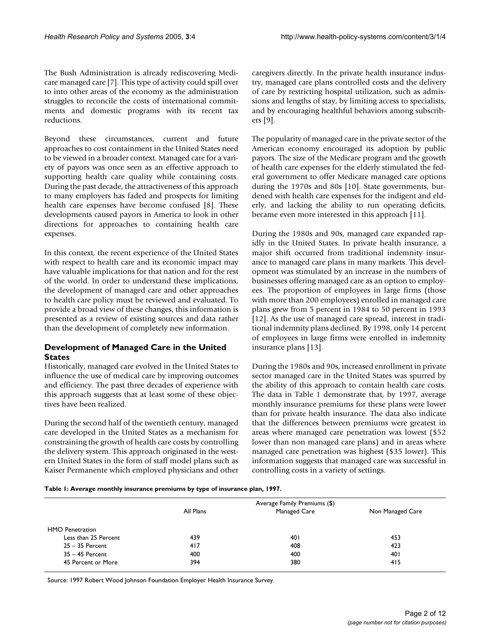The Bush Administration is already rediscovering Medicare managed care [7]. This type of activity could spill over to into other areas of the economy as the administration struggles to reconcile the costs of international commitments and domestic programs with its recent tax reductions.

Beyond these circumstances, current and future approaches to cost containment in the United States need to be viewed in a broader context. Managed care for a variety of payors was once seen as an effective approach to supporting health care quality while containing costs. During the past decade, the attractiveness of this approach to many employers has faded and prospects for limiting health care expenses have become confused [8]. These developments caused payors in America to look in other directions for approaches to containing health care expenses.

In this context, the recent experience of the United States with respect to health care and its economic impact may have valuable implications for that nation and for the rest of the world. In order to understand these implications, the development of managed care and other approaches to health care policy must be reviewed and evaluated. To provide a broad view of these changes, this information is presented as a review of existing sources and data rather than the development of completely new information.

# **Development of Managed Care in the United States**

Historically, managed care evolved in the United States to influence the use of medical care by improving outcomes and efficiency. The past three decades of experience with this approach suggests that at least some of these objectives have been realized.

During the second half of the twentieth century, managed care developed in the United States as a mechanism for constraining the growth of health care costs by controlling the delivery system. This approach originated in the western United States in the form of staff model plans such as Kaiser Permanente which employed physicians and other caregivers directly. In the private health insurance industry, managed care plans controlled costs and the delivery of care by restricting hospital utilization, such as admissions and lengths of stay, by limiting access to specialists, and by encouraging healthful behaviors among subscribers [9].

The popularity of managed care in the private sector of the American economy encouraged its adoption by public payors. The size of the Medicare program and the growth of health care expenses for the elderly stimulated the federal government to offer Medicare managed care options during the 1970s and 80s [10]. State governments, burdened with health care expenses for the indigent and elderly, and lacking the ability to run operating deficits, became even more interested in this approach [11].

During the 1980s and 90s, managed care expanded rapidly in the United States. In private health insurance, a major shift occurred from traditional indemnity insurance to managed care plans in many markets. This development was stimulated by an increase in the numbers of businesses offering managed care as an option to employees. The proportion of employees in large firms (those with more than 200 employees) enrolled in managed care plans grew from 5 percent in 1984 to 50 percent in 1993 [12]. As the use of managed care spread, interest in traditional indemnity plans declined. By 1998, only 14 percent of employees in large firms were enrolled in indemnity insurance plans [13].

During the 1980s and 90s, increased enrollment in private sector managed care in the United States was spurred by the ability of this approach to contain health care costs. The data in Table [1](#page-1-0) demonstrate that, by 1997, average monthly insurance premiums for these plans were lower than for private health insurance. The data also indicate that the differences between premiums were greatest in areas where managed care penetration was lowest (\$52 lower than non managed care plans) and in areas where managed care penetration was highest (\$35 lower). This information suggests that managed care was successful in controlling costs in a variety of settings.

<span id="page-1-0"></span>**Table 1: Average monthly insurance premiums by type of insurance plan, 1997.**

|                        | Average Family Premiums (\$) |              |                  |
|------------------------|------------------------------|--------------|------------------|
|                        | All Plans                    | Managed Care | Non Managed Care |
| <b>HMO Penetration</b> |                              |              |                  |
| Less than 25 Percent   | 439                          | 40 I         | 453              |
| $25 - 35$ Percent      | 417                          | 408          | 423              |
| $35 - 45$ Percent      | 400                          | 400          | 40 I             |
| 45 Percent or More     | 394                          | 380          | 415              |

Source: 1997 Robert Wood Johnson Foundation Employer Health Insurance Survey.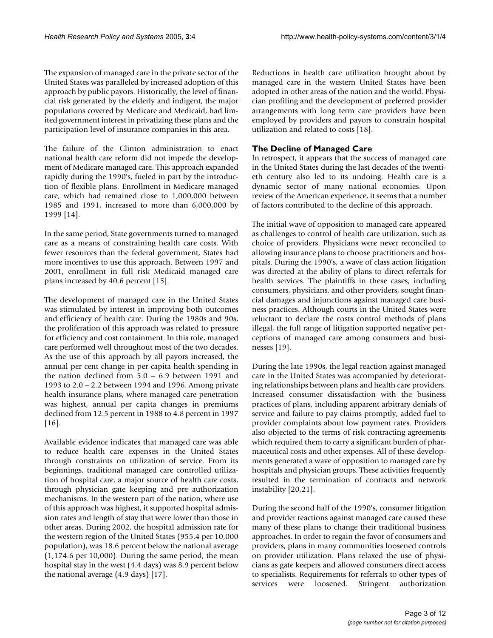The expansion of managed care in the private sector of the United States was paralleled by increased adoption of this approach by public payors. Historically, the level of financial risk generated by the elderly and indigent, the major populations covered by Medicare and Medicaid, had limited government interest in privatizing these plans and the participation level of insurance companies in this area.

The failure of the Clinton administration to enact national health care reform did not impede the development of Medicare managed care. This approach expanded rapidly during the 1990's, fueled in part by the introduction of flexible plans. Enrollment in Medicare managed care, which had remained close to 1,000,000 between 1985 and 1991, increased to more than 6,000,000 by 1999 [14].

In the same period, State governments turned to managed care as a means of constraining health care costs. With fewer resources than the federal government, States had more incentives to use this approach. Between 1997 and 2001, enrollment in full risk Medicaid managed care plans increased by 40.6 percent [15].

The development of managed care in the United States was stimulated by interest in improving both outcomes and efficiency of health care. During the 1980s and 90s, the proliferation of this approach was related to pressure for efficiency and cost containment. In this role, managed care performed well throughout most of the two decades. As the use of this approach by all payors increased, the annual per cent change in per capita health spending in the nation declined from 5.0 – 6.9 between 1991 and 1993 to 2.0 – 2.2 between 1994 and 1996. Among private health insurance plans, where managed care penetration was highest, annual per capita changes in premiums declined from 12.5 percent in 1988 to 4.8 percent in 1997 [16].

Available evidence indicates that managed care was able to reduce health care expenses in the United States through constraints on utilization of service. From its beginnings, traditional managed care controlled utilization of hospital care, a major source of health care costs, through physician gate keeping and pre authorization mechanisms. In the western part of the nation, where use of this approach was highest, it supported hospital admission rates and length of stay that were lower than those in other areas. During 2002, the hospital admission rate for the western region of the United States (955.4 per 10,000 population), was 18.6 percent below the national average (1,174.6 per 10,000). During the same period, the mean hospital stay in the west (4.4 days) was 8.9 percent below the national average (4.9 days) [17].

Reductions in health care utilization brought about by managed care in the western United States have been adopted in other areas of the nation and the world. Physician profiling and the development of preferred provider arrangements with long term care providers have been employed by providers and payors to constrain hospital utilization and related to costs [18].

# **The Decline of Managed Care**

In retrospect, it appears that the success of managed care in the United States during the last decades of the twentieth century also led to its undoing. Health care is a dynamic sector of many national economies. Upon review of the American experience, it seems that a number of factors contributed to the decline of this approach.

The initial wave of opposition to managed care appeared as challenges to control of health care utilization, such as choice of providers. Physicians were never reconciled to allowing insurance plans to choose practitioners and hospitals. During the 1990's, a wave of class action litigation was directed at the ability of plans to direct referrals for health services. The plaintiffs in these cases, including consumers, physicians, and other providers, sought financial damages and injunctions against managed care business practices. Although courts in the United States were reluctant to declare the costs control methods of plans illegal, the full range of litigation supported negative perceptions of managed care among consumers and businesses [19].

During the late 1990s, the legal reaction against managed care in the United States was accompanied by deteriorating relationships between plans and health care providers. Increased consumer dissatisfaction with the business practices of plans, including apparent arbitrary denials of service and failure to pay claims promptly, added fuel to provider complaints about low payment rates. Providers also objected to the terms of risk contracting agreements which required them to carry a significant burden of pharmaceutical costs and other expenses. All of these developments generated a wave of opposition to managed care by hospitals and physician groups. These activities frequently resulted in the termination of contracts and network instability [20,21].

During the second half of the 1990's, consumer litigation and provider reactions against managed care caused these many of these plans to change their traditional business approaches. In order to regain the favor of consumers and providers, plans in many communities loosened controls on provider utilization. Plans relaxed the use of physicians as gate keepers and allowed consumers direct access to specialists. Requirements for referrals to other types of services were loosened. Stringent authorization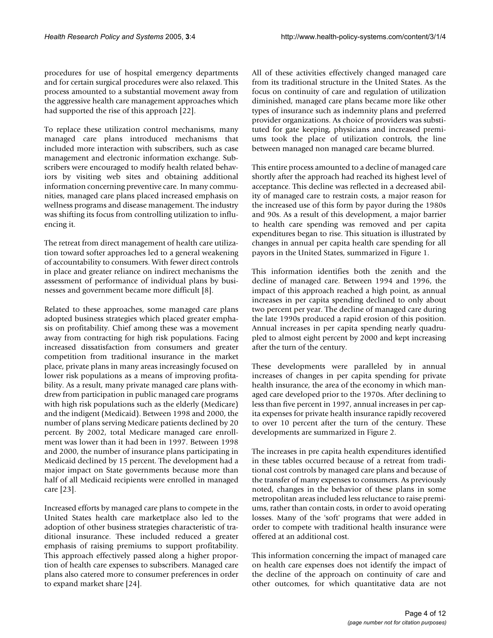procedures for use of hospital emergency departments and for certain surgical procedures were also relaxed. This process amounted to a substantial movement away from the aggressive health care management approaches which had supported the rise of this approach [22].

To replace these utilization control mechanisms, many managed care plans introduced mechanisms that included more interaction with subscribers, such as case management and electronic information exchange. Subscribers were encouraged to modify health related behaviors by visiting web sites and obtaining additional information concerning preventive care. In many communities, managed care plans placed increased emphasis on wellness programs and disease management. The industry was shifting its focus from controlling utilization to influencing it.

The retreat from direct management of health care utilization toward softer approaches led to a general weakening of accountability to consumers. With fewer direct controls in place and greater reliance on indirect mechanisms the assessment of performance of individual plans by businesses and government became more difficult [8].

Related to these approaches, some managed care plans adopted business strategies which placed greater emphasis on profitability. Chief among these was a movement away from contracting for high risk populations. Facing increased dissatisfaction from consumers and greater competition from traditional insurance in the market place, private plans in many areas increasingly focused on lower risk populations as a means of improving profitability. As a result, many private managed care plans withdrew from participation in public managed care programs with high risk populations such as the elderly (Medicare) and the indigent (Medicaid). Between 1998 and 2000, the number of plans serving Medicare patients declined by 20 percent. By 2002, total Medicare managed care enrollment was lower than it had been in 1997. Between 1998 and 2000, the number of insurance plans participating in Medicaid declined by 15 percent. The development had a major impact on State governments because more than half of all Medicaid recipients were enrolled in managed care [23].

Increased efforts by managed care plans to compete in the United States health care marketplace also led to the adoption of other business strategies characteristic of traditional insurance. These included reduced a greater emphasis of raising premiums to support profitability. This approach effectively passed along a higher proportion of health care expenses to subscribers. Managed care plans also catered more to consumer preferences in order to expand market share [24].

All of these activities effectively changed managed care from its traditional structure in the United States. As the focus on continuity of care and regulation of utilization diminished, managed care plans became more like other types of insurance such as indemnity plans and preferred provider organizations. As choice of providers was substituted for gate keeping, physicians and increased premiums took the place of utilization controls, the line between managed non managed care became blurred.

This entire process amounted to a decline of managed care shortly after the approach had reached its highest level of acceptance. This decline was reflected in a decreased ability of managed care to restrain costs, a major reason for the increased use of this form by payor during the 1980s and 90s. As a result of this development, a major barrier to health care spending was removed and per capita expenditures began to rise. This situation is illustrated by changes in annual per capita health care spending for all payors in the United States, summarized in Figure [1](#page-4-0).

This information identifies both the zenith and the decline of managed care. Between 1994 and 1996, the impact of this approach reached a high point, as annual increases in per capita spending declined to only about two percent per year. The decline of managed care during the late 1990s produced a rapid erosion of this position. Annual increases in per capita spending nearly quadrupled to almost eight percent by 2000 and kept increasing after the turn of the century.

These developments were paralleled by in annual increases of changes in per capita spending for private health insurance, the area of the economy in which managed care developed prior to the 1970s. After declining to less than five percent in 1997, annual increases in per capita expenses for private health insurance rapidly recovered to over 10 percent after the turn of the century. These developments are summarized in Figure [2.](#page-5-0)

The increases in pre capita health expenditures identified in these tables occurred because of a retreat from traditional cost controls by managed care plans and because of the transfer of many expenses to consumers. As previously noted, changes in the behavior of these plans in some metropolitan areas included less reluctance to raise premiums, rather than contain costs, in order to avoid operating losses. Many of the 'soft' programs that were added in order to compete with traditional health insurance were offered at an additional cost.

This information concerning the impact of managed care on health care expenses does not identify the impact of the decline of the approach on continuity of care and other outcomes, for which quantitative data are not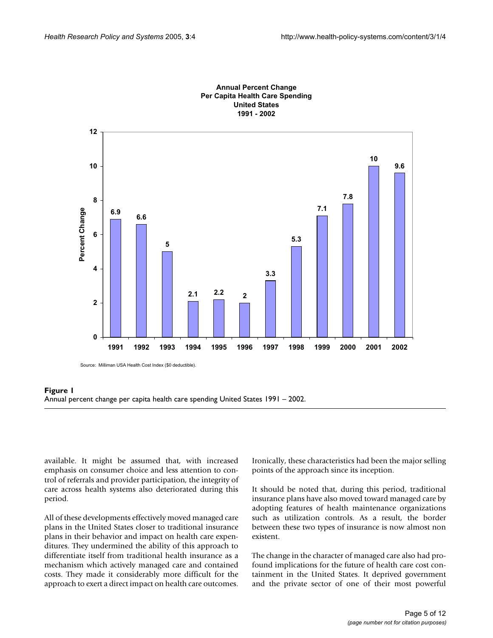<span id="page-4-0"></span>

**Annual Percent Change Per Capita Health Care Spending United States 1991 - 2002**

#### Annual percent change per capita health care spending United States 1991 – 2002 **Figure 1**

Annual percent change per capita health care spending United States 1991 – 2002.

available. It might be assumed that, with increased emphasis on consumer choice and less attention to control of referrals and provider participation, the integrity of care across health systems also deteriorated during this period.

All of these developments effectively moved managed care plans in the United States closer to traditional insurance plans in their behavior and impact on health care expenditures. They undermined the ability of this approach to differentiate itself from traditional health insurance as a mechanism which actively managed care and contained costs. They made it considerably more difficult for the approach to exert a direct impact on health care outcomes.

Ironically, these characteristics had been the major selling points of the approach since its inception.

It should be noted that, during this period, traditional insurance plans have also moved toward managed care by adopting features of health maintenance organizations such as utilization controls. As a result, the border between these two types of insurance is now almost non existent.

The change in the character of managed care also had profound implications for the future of health care cost containment in the United States. It deprived government and the private sector of one of their most powerful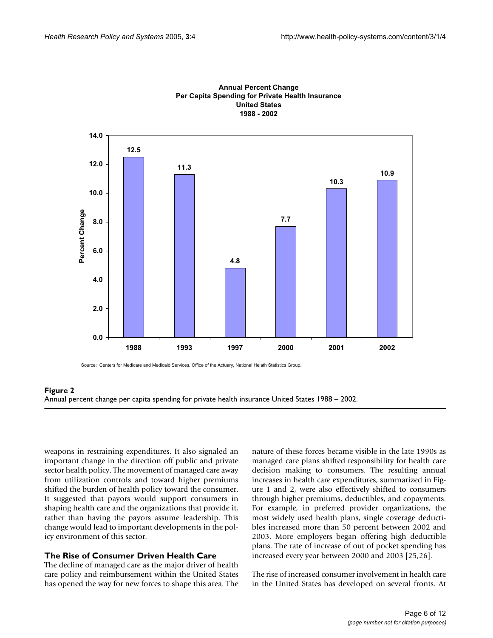<span id="page-5-0"></span>

**Annual Percent Change Per Capita Spending for Private Health Insurance United States 1988 - 2002**

Source: Centers for Medicare and Medicaid Services, Office of the Actuary, National Helath Statistics Group.

Annual percent change per capita spending for private health insurance United States 1988 – 2002 **Figure 2**

Annual percent change per capita spending for private health insurance United States 1988 – 2002.

weapons in restraining expenditures. It also signaled an important change in the direction off public and private sector health policy. The movement of managed care away from utilization controls and toward higher premiums shifted the burden of health policy toward the consumer. It suggested that payors would support consumers in shaping health care and the organizations that provide it, rather than having the payors assume leadership. This change would lead to important developments in the policy environment of this sector.

## **The Rise of Consumer Driven Health Care**

The decline of managed care as the major driver of health care policy and reimbursement within the United States has opened the way for new forces to shape this area. The nature of these forces became visible in the late 1990s as managed care plans shifted responsibility for health care decision making to consumers. The resulting annual increases in health care expenditures, summarized in Figure [1](#page-4-0) and [2,](#page-5-0) were also effectively shifted to consumers through higher premiums, deductibles, and copayments. For example, in preferred provider organizations, the most widely used health plans, single coverage deductibles increased more than 50 percent between 2002 and 2003. More employers began offering high deductible plans. The rate of increase of out of pocket spending has increased every year between 2000 and 2003 [25,26].

The rise of increased consumer involvement in health care in the United States has developed on several fronts. At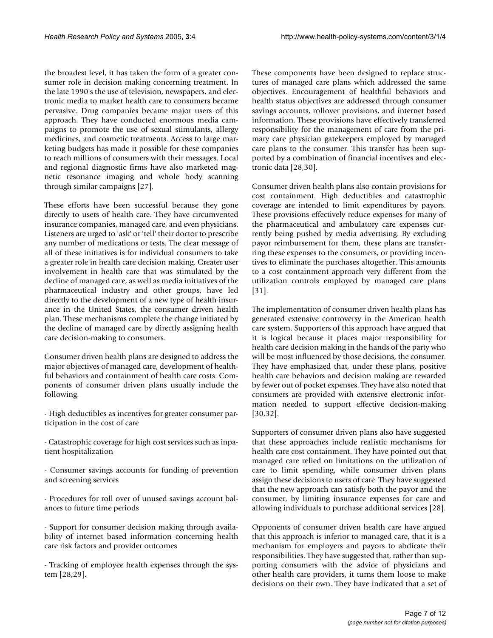the broadest level, it has taken the form of a greater consumer role in decision making concerning treatment. In the late 1990's the use of television, newspapers, and electronic media to market health care to consumers became pervasive. Drug companies became major users of this approach. They have conducted enormous media campaigns to promote the use of sexual stimulants, allergy medicines, and cosmetic treatments. Access to large marketing budgets has made it possible for these companies to reach millions of consumers with their messages. Local and regional diagnostic firms have also marketed magnetic resonance imaging and whole body scanning through similar campaigns [27].

These efforts have been successful because they gone directly to users of health care. They have circumvented insurance companies, managed care, and even physicians. Listeners are urged to 'ask' or 'tell' their doctor to prescribe any number of medications or tests. The clear message of all of these initiatives is for individual consumers to take a greater role in health care decision making. Greater user involvement in health care that was stimulated by the decline of managed care, as well as media initiatives of the pharmaceutical industry and other groups, have led directly to the development of a new type of health insurance in the United States, the consumer driven health plan. These mechanisms complete the change initiated by the decline of managed care by directly assigning health care decision-making to consumers.

Consumer driven health plans are designed to address the major objectives of managed care, development of healthful behaviors and containment of health care costs. Components of consumer driven plans usually include the following.

- High deductibles as incentives for greater consumer participation in the cost of care

- Catastrophic coverage for high cost services such as inpatient hospitalization

- Consumer savings accounts for funding of prevention and screening services

- Procedures for roll over of unused savings account balances to future time periods

- Support for consumer decision making through availability of internet based information concerning health care risk factors and provider outcomes

- Tracking of employee health expenses through the system [28,29].

These components have been designed to replace structures of managed care plans which addressed the same objectives. Encouragement of healthful behaviors and health status objectives are addressed through consumer savings accounts, rollover provisions, and internet based information. These provisions have effectively transferred responsibility for the management of care from the primary care physician gatekeepers employed by managed care plans to the consumer. This transfer has been supported by a combination of financial incentives and electronic data [28,30].

Consumer driven health plans also contain provisions for cost containment. High deductibles and catastrophic coverage are intended to limit expenditures by payors. These provisions effectively reduce expenses for many of the pharmaceutical and ambulatory care expenses currently being pushed by media advertising. By excluding payor reimbursement for them, these plans are transferring these expenses to the consumers, or providing incentives to eliminate the purchases altogether. This amounts to a cost containment approach very different from the utilization controls employed by managed care plans [31].

The implementation of consumer driven health plans has generated extensive controversy in the American health care system. Supporters of this approach have argued that it is logical because it places major responsibility for health care decision making in the hands of the party who will be most influenced by those decisions, the consumer. They have emphasized that, under these plans, positive health care behaviors and decision making are rewarded by fewer out of pocket expenses. They have also noted that consumers are provided with extensive electronic information needed to support effective decision-making [30,32].

Supporters of consumer driven plans also have suggested that these approaches include realistic mechanisms for health care cost containment. They have pointed out that managed care relied on limitations on the utilization of care to limit spending, while consumer driven plans assign these decisions to users of care. They have suggested that the new approach can satisfy both the payor and the consumer, by limiting insurance expenses for care and allowing individuals to purchase additional services [28].

Opponents of consumer driven health care have argued that this approach is inferior to managed care, that it is a mechanism for employers and payors to abdicate their responsibilities. They have suggested that, rather than supporting consumers with the advice of physicians and other health care providers, it turns them loose to make decisions on their own. They have indicated that a set of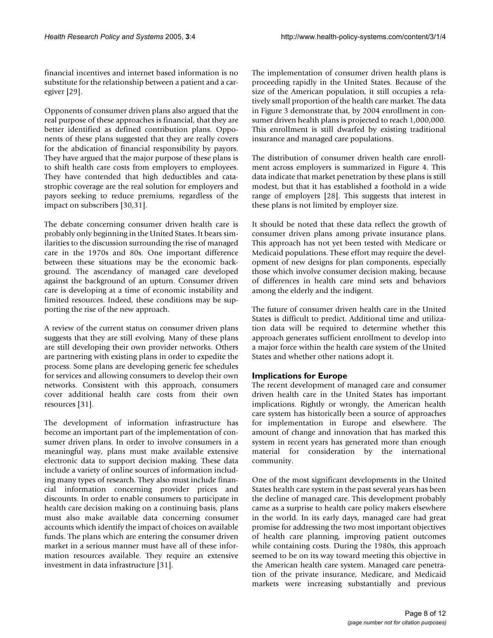financial incentives and internet based information is no substitute for the relationship between a patient and a caregiver [29].

Opponents of consumer driven plans also argued that the real purpose of these approaches is financial, that they are better identified as defined contribution plans. Opponents of these plans suggested that they are really covers for the abdication of financial responsibility by payors. They have argued that the major purpose of these plans is to shift health care costs from employers to employees. They have contended that high deductibles and catastrophic coverage are the real solution for employers and payors seeking to reduce premiums, regardless of the impact on subscribers [30,31].

The debate concerning consumer driven health care is probably only beginning in the United States. It bears similarities to the discussion surrounding the rise of managed care in the 1970s and 80s. One important difference between these situations may be the economic background. The ascendancy of managed care developed against the background of an upturn. Consumer driven care is developing at a time of economic instability and limited resources. Indeed, these conditions may be supporting the rise of the new approach.

A review of the current status on consumer driven plans suggests that they are still evolving. Many of these plans are still developing their own provider networks. Others are partnering with existing plans in order to expedite the process. Some plans are developing generic fee schedules for services and allowing consumers to develop their own networks. Consistent with this approach, consumers cover additional health care costs from their own resources [31].

The development of information infrastructure has become an important part of the implementation of consumer driven plans. In order to involve consumers in a meaningful way, plans must make available extensive electronic data to support decision making. These data include a variety of online sources of information including many types of research. They also must include financial information concerning provider prices and discounts. In order to enable consumers to participate in health care decision making on a continuing basis, plans must also make available data concerning consumer accounts which identify the impact of choices on available funds. The plans which are entering the consumer driven market in a serious manner must have all of these information resources available. They require an extensive investment in data infrastructure [31].

The implementation of consumer driven health plans is proceeding rapidly in the United States. Because of the size of the American population, it still occupies a relatively small proportion of the health care market. The data in Figure [3](#page-8-0) demonstrate that, by 2004 enrollment in consumer driven health plans is projected to reach 1,000,000. This enrollment is still dwarfed by existing traditional insurance and managed care populations.

The distribution of consumer driven health care enrollment across employers is summarized in Figure [4](#page-9-0). This data indicate that market penetration by these plans is still modest, but that it has established a foothold in a wide range of employers [28]. This suggests that interest in these plans is not limited by employer size.

It should be noted that these data reflect the growth of consumer driven plans among private insurance plans. This approach has not yet been tested with Medicare or Medicaid populations. These effort may require the development of new designs for plan components, especially those which involve consumer decision making, because of differences in health care mind sets and behaviors among the elderly and the indigent.

The future of consumer driven health care in the United States is difficult to predict. Additional time and utilization data will be required to determine whether this approach generates sufficient enrollment to develop into a major force within the health care system of the United States and whether other nations adopt it.

## **Implications for Europe**

The recent development of managed care and consumer driven health care in the United States has important implications. Rightly or wrongly, the American health care system has historically been a source of approaches for implementation in Europe and elsewhere. The amount of change and innovation that has marked this system in recent years has generated more than enough material for consideration by the international community.

One of the most significant developments in the United States health care system in the past several years has been the decline of managed care. This development probably came as a surprise to health care policy makers elsewhere in the world. In its early days, managed care had great promise for addressing the two most important objectives of health care planning, improving patient outcomes while containing costs. During the 1980s, this approach seemed to be on its way toward meeting this objective in the American health care system. Managed care penetration of the private insurance, Medicare, and Medicaid markets were increasing substantially and previous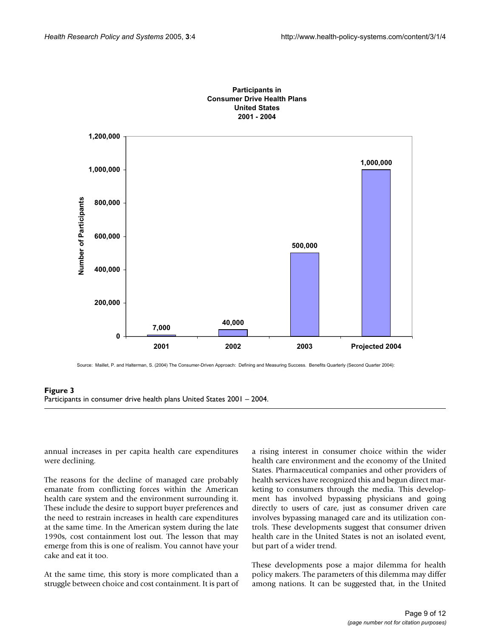<span id="page-8-0"></span>



Source: Maillet, P. and Halterman, S. (2004) The Consumer-Driven Approach: Defining and Measuring Success. Benefits Quarterly (Second Quarter 2004):

**Figure 3** 

Participants in consumer drive health plans United States 2001 – 2004.

annual increases in per capita health care expenditures were declining.

The reasons for the decline of managed care probably emanate from conflicting forces within the American health care system and the environment surrounding it. These include the desire to support buyer preferences and the need to restrain increases in health care expenditures at the same time. In the American system during the late 1990s, cost containment lost out. The lesson that may emerge from this is one of realism. You cannot have your cake and eat it too.

At the same time, this story is more complicated than a struggle between choice and cost containment. It is part of a rising interest in consumer choice within the wider health care environment and the economy of the United States. Pharmaceutical companies and other providers of health services have recognized this and begun direct marketing to consumers through the media. This development has involved bypassing physicians and going directly to users of care, just as consumer driven care involves bypassing managed care and its utilization controls. These developments suggest that consumer driven health care in the United States is not an isolated event, but part of a wider trend.

These developments pose a major dilemma for health policy makers. The parameters of this dilemma may differ among nations. It can be suggested that, in the United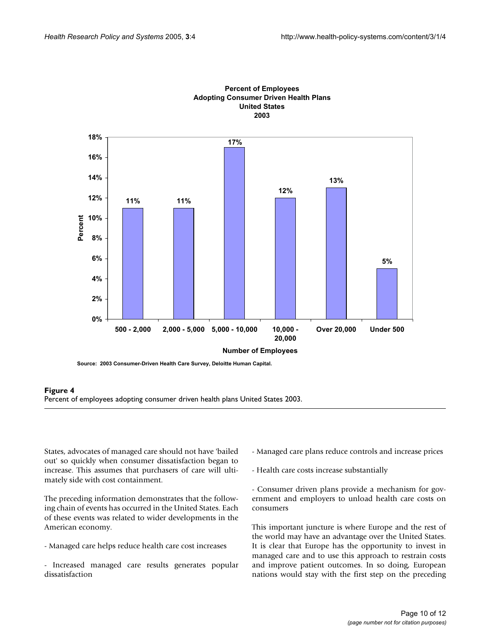<span id="page-9-0"></span>

#### **Percent of Employees Adopting Consumer Driven Health Plans United States 2003**

**Source: 2003 Consumer-Driven Health Care Survey, Deloitte Human Capital.**

## Percent of employees adopting consumer **Figure 4** driven health plans United States 2003

Percent of employees adopting consumer driven health plans United States 2003.

States, advocates of managed care should not have 'bailed out' so quickly when consumer dissatisfaction began to increase. This assumes that purchasers of care will ultimately side with cost containment.

The preceding information demonstrates that the following chain of events has occurred in the United States. Each of these events was related to wider developments in the American economy.

- Managed care helps reduce health care cost increases

- Increased managed care results generates popular dissatisfaction

- Managed care plans reduce controls and increase prices
- Health care costs increase substantially

- Consumer driven plans provide a mechanism for government and employers to unload health care costs on consumers

This important juncture is where Europe and the rest of the world may have an advantage over the United States. It is clear that Europe has the opportunity to invest in managed care and to use this approach to restrain costs and improve patient outcomes. In so doing, European nations would stay with the first step on the preceding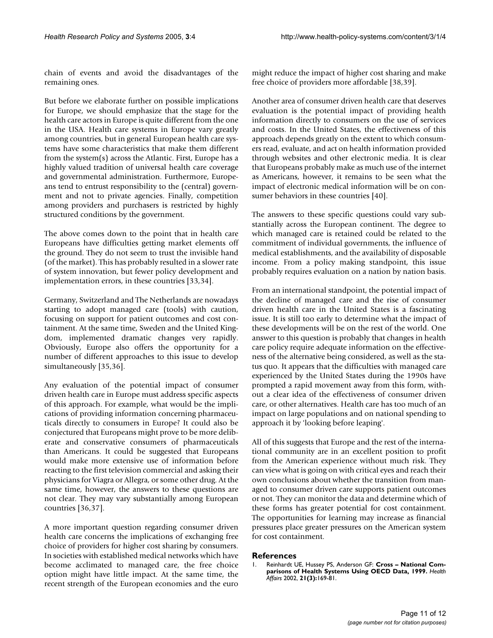chain of events and avoid the disadvantages of the remaining ones.

But before we elaborate further on possible implications for Europe, we should emphasize that the stage for the health care actors in Europe is quite different from the one in the USA. Health care systems in Europe vary greatly among countries, but in general European health care systems have some characteristics that make them different from the system(s) across the Atlantic. First, Europe has a highly valued tradition of universal health care coverage and governmental administration. Furthermore, Europeans tend to entrust responsibility to the (central) government and not to private agencies. Finally, competition among providers and purchasers is restricted by highly structured conditions by the government.

The above comes down to the point that in health care Europeans have difficulties getting market elements off the ground. They do not seem to trust the invisible hand (of the market). This has probably resulted in a slower rate of system innovation, but fewer policy development and implementation errors, in these countries [33,34].

Germany, Switzerland and The Netherlands are nowadays starting to adopt managed care (tools) with caution, focusing on support for patient outcomes and cost containment. At the same time, Sweden and the United Kingdom, implemented dramatic changes very rapidly. Obviously, Europe also offers the opportunity for a number of different approaches to this issue to develop simultaneously [35,36].

Any evaluation of the potential impact of consumer driven health care in Europe must address specific aspects of this approach. For example, what would be the implications of providing information concerning pharmaceuticals directly to consumers in Europe? It could also be conjectured that Europeans might prove to be more deliberate and conservative consumers of pharmaceuticals than Americans. It could be suggested that Europeans would make more extensive use of information before reacting to the first television commercial and asking their physicians for Viagra or Allegra, or some other drug. At the same time, however, the answers to these questions are not clear. They may vary substantially among European countries [36,37].

A more important question regarding consumer driven health care concerns the implications of exchanging free choice of providers for higher cost sharing by consumers. In societies with established medical networks which have become acclimated to managed care, the free choice option might have little impact. At the same time, the recent strength of the European economies and the euro might reduce the impact of higher cost sharing and make free choice of providers more affordable [38,39].

Another area of consumer driven health care that deserves evaluation is the potential impact of providing health information directly to consumers on the use of services and costs. In the United States, the effectiveness of this approach depends greatly on the extent to which consumers read, evaluate, and act on health information provided through websites and other electronic media. It is clear that Europeans probably make as much use of the internet as Americans, however, it remains to be seen what the impact of electronic medical information will be on consumer behaviors in these countries [40].

The answers to these specific questions could vary substantially across the European continent. The degree to which managed care is retained could be related to the commitment of individual governments, the influence of medical establishments, and the availability of disposable income. From a policy making standpoint, this issue probably requires evaluation on a nation by nation basis.

From an international standpoint, the potential impact of the decline of managed care and the rise of consumer driven health care in the United States is a fascinating issue. It is still too early to determine what the impact of these developments will be on the rest of the world. One answer to this question is probably that changes in health care policy require adequate information on the effectiveness of the alternative being considered, as well as the status quo. It appears that the difficulties with managed care experienced by the United States during the 1990s have prompted a rapid movement away from this form, without a clear idea of the effectiveness of consumer driven care, or other alternatives. Health care has too much of an impact on large populations and on national spending to approach it by 'looking before leaping'.

All of this suggests that Europe and the rest of the international community are in an excellent position to profit from the American experience without much risk. They can view what is going on with critical eyes and reach their own conclusions about whether the transition from managed to consumer driven care supports patient outcomes or not. They can monitor the data and determine which of these forms has greater potential for cost containment. The opportunities for learning may increase as financial pressures place greater pressures on the American system for cost containment.

## **References**

1. Reinhardt UE, Hussey PS, Anderson GF: **[Cross – National Com](http://www.ncbi.nlm.nih.gov/entrez/query.fcgi?cmd=Retrieve&db=PubMed&dopt=Abstract&list_uids=12025981)[parisons of Health Systems Using OECD Data, 1999.](http://www.ncbi.nlm.nih.gov/entrez/query.fcgi?cmd=Retrieve&db=PubMed&dopt=Abstract&list_uids=12025981)** *Health Affairs* 2002, **21(3):**169-81.